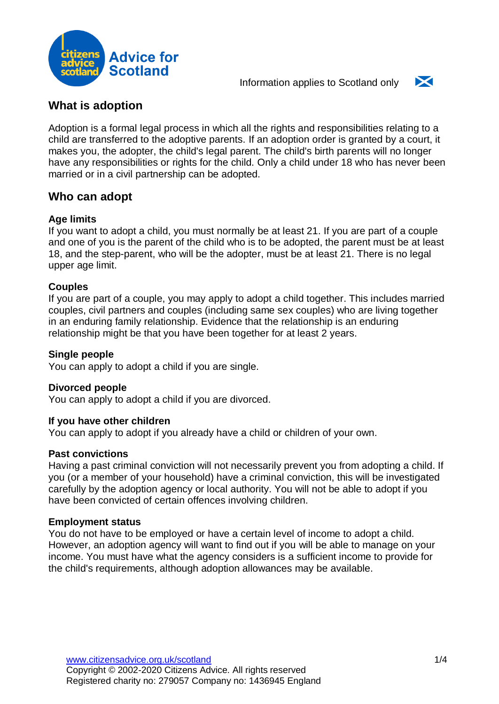



# **What is adoption**

Adoption is a formal legal process in which all the rights and responsibilities relating to a child are transferred to the adoptive parents. If an adoption order is granted by a court, it makes you, the adopter, the child's legal parent. The child's birth parents will no longer have any responsibilities or rights for the child. Only a child under 18 who has never been married or in a civil partnership can be adopted.

## **Who can adopt**

### **Age limits**

If you want to adopt a child, you must normally be at least 21. If you are part of a couple and one of you is the parent of the child who is to be adopted, the parent must be at least 18, and the step-parent, who will be the adopter, must be at least 21. There is no legal upper age limit.

### **Couples**

If you are part of a couple, you may apply to adopt a child together. This includes married couples, civil partners and couples (including same sex couples) who are living together in an enduring family relationship. Evidence that the relationship is an enduring relationship might be that you have been together for at least 2 years.

### **Single people**

You can apply to adopt a child if you are single.

### **Divorced people**

You can apply to adopt a child if you are divorced.

#### **If you have other children**

You can apply to adopt if you already have a child or children of your own.

#### **Past convictions**

Having a past criminal conviction will not necessarily prevent you from adopting a child. If you (or a member of your household) have a criminal conviction, this will be investigated carefully by the adoption agency or local authority. You will not be able to adopt if you have been convicted of certain offences involving children.

#### **Employment status**

You do not have to be employed or have a certain level of income to adopt a child. However, an adoption agency will want to find out if you will be able to manage on your income. You must have what the agency considers is a sufficient income to provide for the child's requirements, although adoption allowances may be available.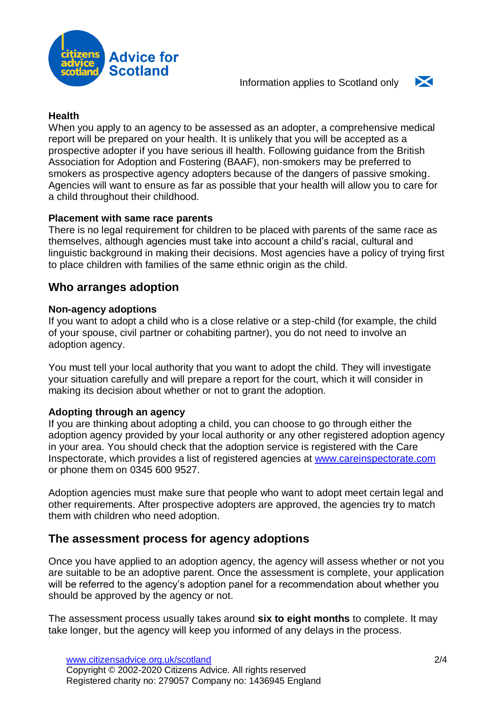



### **Health**

When you apply to an agency to be assessed as an adopter, a comprehensive medical report will be prepared on your health. It is unlikely that you will be accepted as a prospective adopter if you have serious ill health. Following guidance from the British Association for Adoption and Fostering (BAAF), non-smokers may be preferred to smokers as prospective agency adopters because of the dangers of passive smoking. Agencies will want to ensure as far as possible that your health will allow you to care for a child throughout their childhood.

### **Placement with same race parents**

There is no legal requirement for children to be placed with parents of the same race as themselves, although agencies must take into account a child's racial, cultural and linguistic background in making their decisions. Most agencies have a policy of trying first to place children with families of the same ethnic origin as the child.

## **Who arranges adoption**

### **Non-agency adoptions**

If you want to adopt a child who is a close relative or a step-child (for example, the child of your spouse, civil partner or cohabiting partner), you do not need to involve an adoption agency.

You must tell your local authority that you want to adopt the child. They will investigate your situation carefully and will prepare a report for the court, which it will consider in making its decision about whether or not to grant the adoption.

### **Adopting through an agency**

If you are thinking about adopting a child, you can choose to go through either the adoption agency provided by your local authority or any other registered adoption agency in your area. You should check that the adoption service is registered with the Care Inspectorate, which provides a list of registered agencies at [www.careinspectorate.com](https://www.careinspectorate.com/) or phone them on 0345 600 9527.

Adoption agencies must make sure that people who want to adopt meet certain legal and other requirements. After prospective adopters are approved, the agencies try to match them with children who need adoption.

## **The assessment process for agency adoptions**

Once you have applied to an adoption agency, the agency will assess whether or not you are suitable to be an adoptive parent. Once the assessment is complete, your application will be referred to the agency's adoption panel for a recommendation about whether you should be approved by the agency or not.

The assessment process usually takes around **six to eight months** to complete. It may take longer, but the agency will keep you informed of any delays in the process.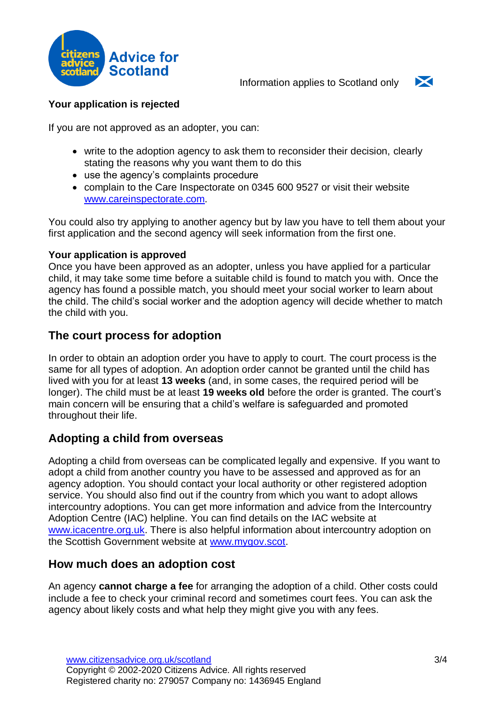



### **Your application is rejected**

If you are not approved as an adopter, you can:

- write to the adoption agency to ask them to reconsider their decision, clearly stating the reasons why you want them to do this
- use the agency's complaints procedure
- complain to the Care Inspectorate on 0345 600 9527 or visit their website [www.careinspectorate.com.](https://www.careinspectorate.com/)

You could also try applying to another agency but by law you have to tell them about your first application and the second agency will seek information from the first one.

### **Your application is approved**

Once you have been approved as an adopter, unless you have applied for a particular child, it may take some time before a suitable child is found to match you with. Once the agency has found a possible match, you should meet your social worker to learn about the child. The child's social worker and the adoption agency will decide whether to match the child with you.

## **The court process for adoption**

In order to obtain an adoption order you have to apply to court. The court process is the same for all types of adoption. An adoption order cannot be granted until the child has lived with you for at least **13 weeks** (and, in some cases, the required period will be longer). The child must be at least **19 weeks old** before the order is granted. The court's main concern will be ensuring that a child's welfare is safeguarded and promoted throughout their life.

# **Adopting a child from overseas**

Adopting a child from overseas can be complicated legally and expensive. If you want to adopt a child from another country you have to be assessed and approved as for an agency adoption. You should contact your local authority or other registered adoption service. You should also find out if the country from which you want to adopt allows intercountry adoptions. You can get more information and advice from the Intercountry Adoption Centre (IAC) helpline. You can find details on the IAC website at [www.icacentre.org.uk.](http://www.icacentre.org.uk/) There is also helpful information about intercountry adoption on the Scottish Government website at [www.mygov.scot.](https://www.mygov.scot/adopting-child-from-abroad/)

## **How much does an adoption cost**

An agency **cannot charge a fee** for arranging the adoption of a child. Other costs could include a fee to check your criminal record and sometimes court fees. You can ask the agency about likely costs and what help they might give you with any fees.